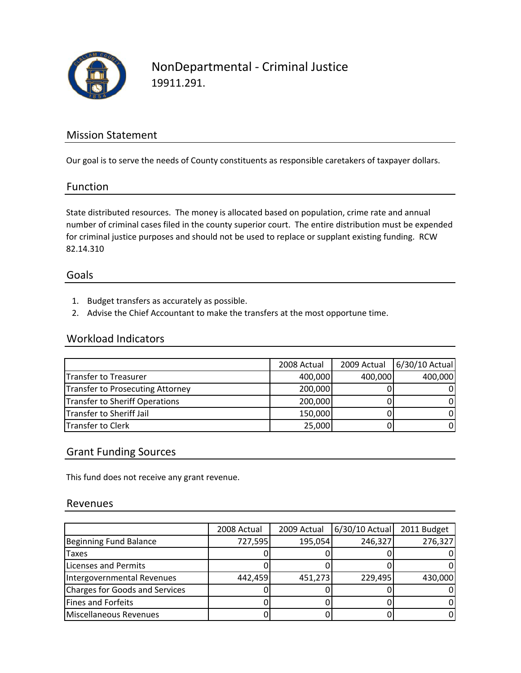

## NonDepartmental ‐ Criminal Justice 19911.291.

### Mission Statement

Our goal is to serve the needs of County constituents as responsible caretakers of taxpayer dollars.

#### Function

State distributed resources. The money is allocated based on population, crime rate and annual number of criminal cases filed in the county superior court. The entire distribution must be expended for criminal justice purposes and should not be used to replace or supplant existing funding. RCW 82.14.310

#### Goals

- 1. Budget transfers as accurately as possible.
- 2. Advise the Chief Accountant to make the transfers at the most opportune time.

#### Workload Indicators

|                                  | 2008 Actual | 2009 Actual | 6/30/10 Actual |
|----------------------------------|-------------|-------------|----------------|
| Transfer to Treasurer            | 400,000     | 400,000     | 400,000        |
| Transfer to Prosecuting Attorney | 200,000     |             |                |
| Transfer to Sheriff Operations   | 200,000     |             | $\Omega$       |
| Transfer to Sheriff Jail         | 150,000     |             | $\Omega$       |
| Transfer to Clerk                | 25,000      |             | 0              |

### Grant Funding Sources

This fund does not receive any grant revenue.

#### Revenues

|                                       | 2008 Actual | 2009 Actual | 6/30/10 Actual | 2011 Budget |
|---------------------------------------|-------------|-------------|----------------|-------------|
| Beginning Fund Balance                | 727,595     | 195,054     | 246,327        | 276,327     |
| <b>Taxes</b>                          |             |             |                |             |
| <b>Licenses and Permits</b>           |             |             |                |             |
| Intergovernmental Revenues            | 442,459     | 451,273     | 229,495        | 430,000     |
| <b>Charges for Goods and Services</b> |             |             |                | 01          |
| Fines and Forfeits                    |             |             |                | 01          |
| Miscellaneous Revenues                |             |             |                | ΩI          |